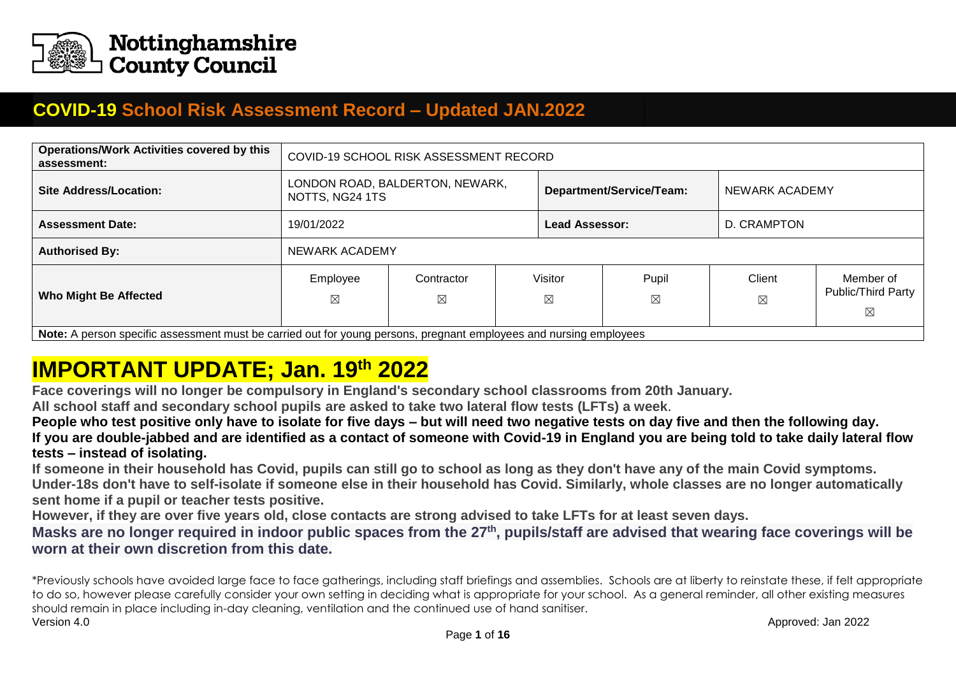

## **COVID-19 School Risk Assessment Record – Updated JAN.2022**

| <b>Operations/Work Activities covered by this</b><br>assessment:                                                   | COVID-19 SCHOOL RISK ASSESSMENT RECORD             |                           |  |                          |                      |                       |                                      |  |  |
|--------------------------------------------------------------------------------------------------------------------|----------------------------------------------------|---------------------------|--|--------------------------|----------------------|-----------------------|--------------------------------------|--|--|
| <b>Site Address/Location:</b>                                                                                      | LONDON ROAD, BALDERTON, NEWARK,<br>NOTTS, NG24 1TS |                           |  | Department/Service/Team: |                      |                       | NEWARK ACADEMY                       |  |  |
| <b>Assessment Date:</b>                                                                                            | D. CRAMPTON<br>19/01/2022<br><b>Lead Assessor:</b> |                           |  |                          |                      |                       |                                      |  |  |
| <b>Authorised By:</b>                                                                                              | NEWARK ACADEMY                                     |                           |  |                          |                      |                       |                                      |  |  |
| <b>Who Might Be Affected</b>                                                                                       | Employee<br>⊠                                      | Contractor<br>$\boxtimes$ |  | Visitor<br>$\boxtimes$   | Pupil<br>$\boxtimes$ | Client<br>$\boxtimes$ | Member of<br>Public/Third Party<br>⊠ |  |  |
| Note: A person specific assessment must be carried out for young persons, pregnant employees and pursing employees |                                                    |                           |  |                          |                      |                       |                                      |  |  |

**Note:** A person specific assessment must be carried out for young persons, pregnant employees and nursing employees

## **IMPORTANT UPDATE; Jan. 19th 2022**

**Face coverings will no longer be compulsory in England's secondary school classrooms from 20th January.**

**All school staff and secondary school pupils are asked to take two lateral flow tests [\(LFTs\)](https://www.bbc.co.uk/news/health-51943612) a week**.

**People who test positive only have to isolate for five days – but will need two negative tests on day five and then the following day. If you are double-jabbed and are identified as a contact of someone with Covid-19 in England you are being told to take daily lateral flow tests – instead of isolating.**

**If someone in their household has Covid, pupils can still go to school as long as they don't have any of the main Covid symptoms. Under-18s don't have to self-isolate if someone else in their household has Covid. Similarly, whole classes are no longer automatically sent home if a pupil or teacher tests positive.**

**However, if they are over five years old, close contacts are strong advised to take LFTs for at least seven days.**

**Masks are no longer required in indoor public spaces from the 27th, pupils/staff are advised that wearing face coverings will be worn at their own discretion from this date.**

Version 4.0 Approved: Jan 2022 \*Previously schools have avoided large face to face gatherings, including staff briefings and assemblies. Schools are at liberty to reinstate these, if felt appropriate to do so, however please carefully consider your own setting in deciding what is appropriate for your school. As a general reminder, all other existing measures should remain in place including in-day cleaning, ventilation and the continued use of hand sanitiser.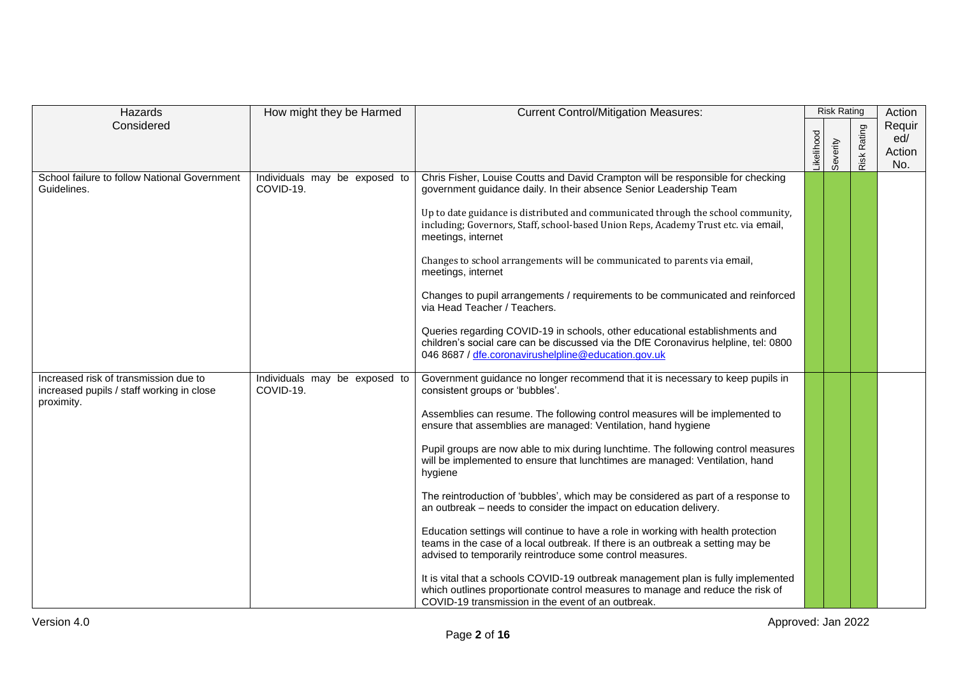| Hazards                                                                                          | How might they be Harmed                   | <b>Current Control/Mitigation Measures:</b>                                                                                                                                                                                                                                                                                                                                                                                                                                                                                                                                                                                                                                                                                                                                                                                                                                                                                                                                                                                                                                    |            | <b>Risk Rating</b> |             | Action                         |
|--------------------------------------------------------------------------------------------------|--------------------------------------------|--------------------------------------------------------------------------------------------------------------------------------------------------------------------------------------------------------------------------------------------------------------------------------------------------------------------------------------------------------------------------------------------------------------------------------------------------------------------------------------------------------------------------------------------------------------------------------------------------------------------------------------------------------------------------------------------------------------------------------------------------------------------------------------------------------------------------------------------------------------------------------------------------------------------------------------------------------------------------------------------------------------------------------------------------------------------------------|------------|--------------------|-------------|--------------------------------|
| Considered                                                                                       |                                            |                                                                                                                                                                                                                                                                                                                                                                                                                                                                                                                                                                                                                                                                                                                                                                                                                                                                                                                                                                                                                                                                                | _ikelihood | Severity           | Risk Rating | Requir<br>ed/<br>Action<br>No. |
| School failure to follow National Government<br>Guidelines.                                      | Individuals may be exposed to<br>COVID-19. | Chris Fisher, Louise Coutts and David Crampton will be responsible for checking<br>government guidance daily. In their absence Senior Leadership Team<br>Up to date guidance is distributed and communicated through the school community,<br>including; Governors, Staff, school-based Union Reps, Academy Trust etc. via email,<br>meetings, internet<br>Changes to school arrangements will be communicated to parents via email,<br>meetings, internet<br>Changes to pupil arrangements / requirements to be communicated and reinforced<br>via Head Teacher / Teachers.<br>Queries regarding COVID-19 in schools, other educational establishments and<br>children's social care can be discussed via the DfE Coronavirus helpline, tel: 0800<br>046 8687 / dfe.coronavirushelpline@education.gov.uk                                                                                                                                                                                                                                                                      |            |                    |             |                                |
| Increased risk of transmission due to<br>increased pupils / staff working in close<br>proximity. | Individuals may be exposed to<br>COVID-19. | Government guidance no longer recommend that it is necessary to keep pupils in<br>consistent groups or 'bubbles'.<br>Assemblies can resume. The following control measures will be implemented to<br>ensure that assemblies are managed: Ventilation, hand hygiene<br>Pupil groups are now able to mix during lunchtime. The following control measures<br>will be implemented to ensure that lunchtimes are managed: Ventilation, hand<br>hygiene<br>The reintroduction of 'bubbles', which may be considered as part of a response to<br>an outbreak - needs to consider the impact on education delivery.<br>Education settings will continue to have a role in working with health protection<br>teams in the case of a local outbreak. If there is an outbreak a setting may be<br>advised to temporarily reintroduce some control measures.<br>It is vital that a schools COVID-19 outbreak management plan is fully implemented<br>which outlines proportionate control measures to manage and reduce the risk of<br>COVID-19 transmission in the event of an outbreak. |            |                    |             |                                |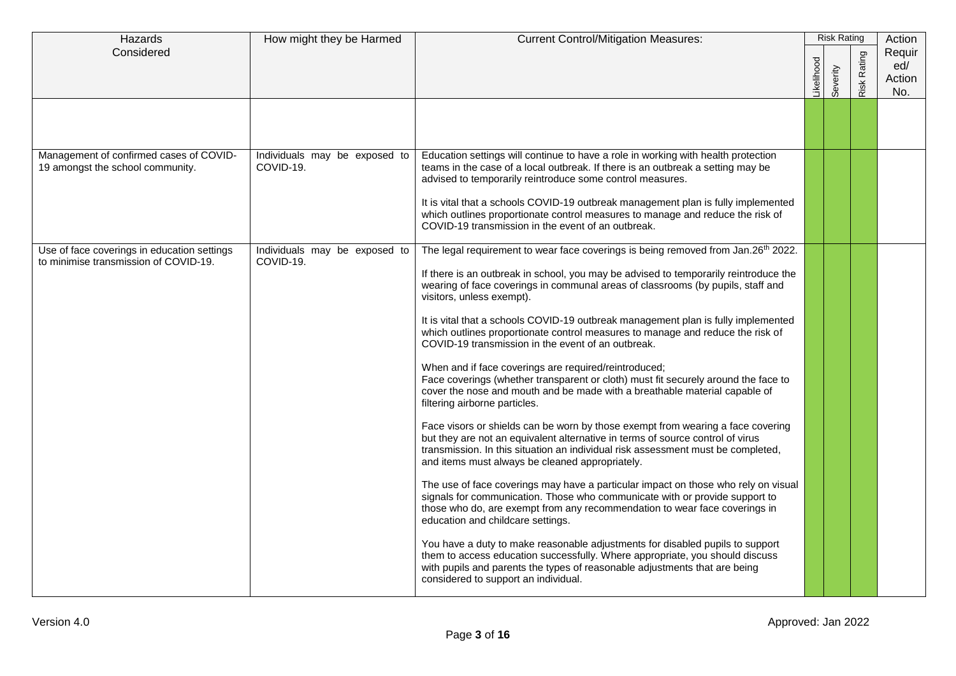| Hazards                                                                              | How might they be Harmed                   | <b>Current Control/Mitigation Measures:</b>                                                                                                                                                                                                                                                                                                                                                                                                                                                                                                                                                                                                                                                                                                                                                                                                                                                                                                                                                                                                                                                                                                                                                                                                                                                                                                                                                                                                                                                                                                                                                                                                                                                 |           | <b>Risk Rating</b> |                    | Action                         |
|--------------------------------------------------------------------------------------|--------------------------------------------|---------------------------------------------------------------------------------------------------------------------------------------------------------------------------------------------------------------------------------------------------------------------------------------------------------------------------------------------------------------------------------------------------------------------------------------------------------------------------------------------------------------------------------------------------------------------------------------------------------------------------------------------------------------------------------------------------------------------------------------------------------------------------------------------------------------------------------------------------------------------------------------------------------------------------------------------------------------------------------------------------------------------------------------------------------------------------------------------------------------------------------------------------------------------------------------------------------------------------------------------------------------------------------------------------------------------------------------------------------------------------------------------------------------------------------------------------------------------------------------------------------------------------------------------------------------------------------------------------------------------------------------------------------------------------------------------|-----------|--------------------|--------------------|--------------------------------|
| Considered                                                                           |                                            |                                                                                                                                                                                                                                                                                                                                                                                                                                                                                                                                                                                                                                                                                                                                                                                                                                                                                                                                                                                                                                                                                                                                                                                                                                                                                                                                                                                                                                                                                                                                                                                                                                                                                             | ikelihood | Severity           | <b>Risk Rating</b> | Requir<br>ed/<br>Action<br>No. |
|                                                                                      |                                            |                                                                                                                                                                                                                                                                                                                                                                                                                                                                                                                                                                                                                                                                                                                                                                                                                                                                                                                                                                                                                                                                                                                                                                                                                                                                                                                                                                                                                                                                                                                                                                                                                                                                                             |           |                    |                    |                                |
| Management of confirmed cases of COVID-<br>19 amongst the school community.          | Individuals may be exposed to<br>COVID-19. | Education settings will continue to have a role in working with health protection<br>teams in the case of a local outbreak. If there is an outbreak a setting may be<br>advised to temporarily reintroduce some control measures.                                                                                                                                                                                                                                                                                                                                                                                                                                                                                                                                                                                                                                                                                                                                                                                                                                                                                                                                                                                                                                                                                                                                                                                                                                                                                                                                                                                                                                                           |           |                    |                    |                                |
|                                                                                      |                                            | It is vital that a schools COVID-19 outbreak management plan is fully implemented<br>which outlines proportionate control measures to manage and reduce the risk of<br>COVID-19 transmission in the event of an outbreak.                                                                                                                                                                                                                                                                                                                                                                                                                                                                                                                                                                                                                                                                                                                                                                                                                                                                                                                                                                                                                                                                                                                                                                                                                                                                                                                                                                                                                                                                   |           |                    |                    |                                |
| Use of face coverings in education settings<br>to minimise transmission of COVID-19. | Individuals may be exposed to<br>COVID-19. | The legal requirement to wear face coverings is being removed from Jan.26 <sup>th</sup> 2022.<br>If there is an outbreak in school, you may be advised to temporarily reintroduce the<br>wearing of face coverings in communal areas of classrooms (by pupils, staff and<br>visitors, unless exempt).<br>It is vital that a schools COVID-19 outbreak management plan is fully implemented<br>which outlines proportionate control measures to manage and reduce the risk of<br>COVID-19 transmission in the event of an outbreak.<br>When and if face coverings are required/reintroduced;<br>Face coverings (whether transparent or cloth) must fit securely around the face to<br>cover the nose and mouth and be made with a breathable material capable of<br>filtering airborne particles.<br>Face visors or shields can be worn by those exempt from wearing a face covering<br>but they are not an equivalent alternative in terms of source control of virus<br>transmission. In this situation an individual risk assessment must be completed,<br>and items must always be cleaned appropriately.<br>The use of face coverings may have a particular impact on those who rely on visual<br>signals for communication. Those who communicate with or provide support to<br>those who do, are exempt from any recommendation to wear face coverings in<br>education and childcare settings.<br>You have a duty to make reasonable adjustments for disabled pupils to support<br>them to access education successfully. Where appropriate, you should discuss<br>with pupils and parents the types of reasonable adjustments that are being<br>considered to support an individual. |           |                    |                    |                                |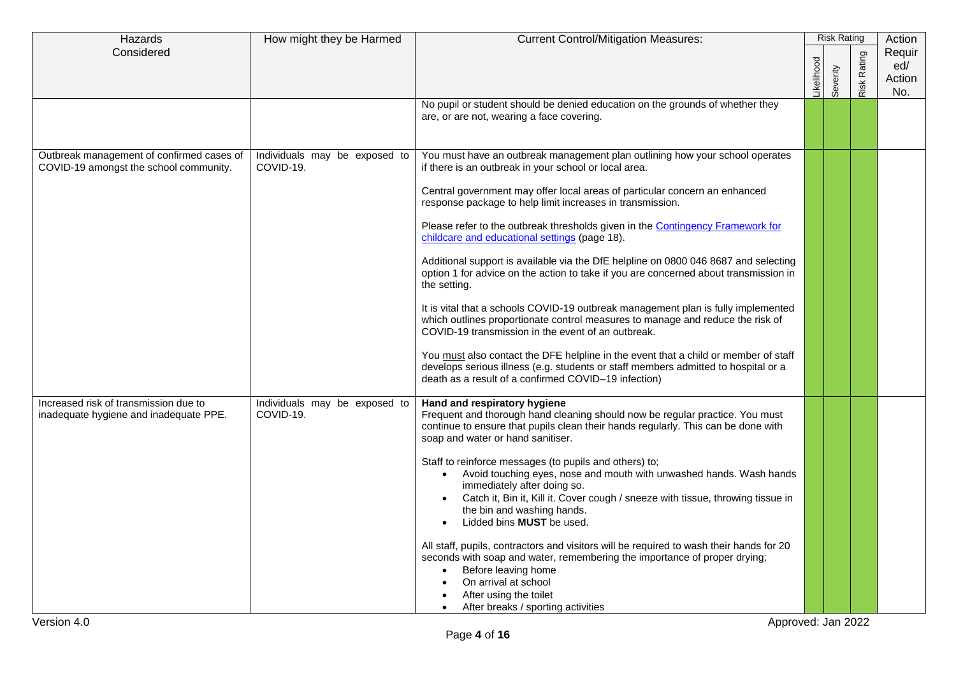| Considered<br>Requir<br><b>Risk Rating</b><br>Likelihood<br>ed/<br>Severity<br>Action<br>No.<br>No pupil or student should be denied education on the grounds of whether they<br>are, or are not, wearing a face covering.<br>Outbreak management of confirmed cases of<br>Individuals may be exposed to<br>You must have an outbreak management plan outlining how your school operates<br>COVID-19.<br>if there is an outbreak in your school or local area.<br>COVID-19 amongst the school community.<br>Central government may offer local areas of particular concern an enhanced<br>response package to help limit increases in transmission.<br>Please refer to the outbreak thresholds given in the Contingency Framework for<br>childcare and educational settings (page 18).<br>Additional support is available via the DfE helpline on 0800 046 8687 and selecting<br>option 1 for advice on the action to take if you are concerned about transmission in<br>the setting.<br>It is vital that a schools COVID-19 outbreak management plan is fully implemented<br>which outlines proportionate control measures to manage and reduce the risk of<br>COVID-19 transmission in the event of an outbreak.<br>You must also contact the DFE helpline in the event that a child or member of staff<br>develops serious illness (e.g. students or staff members admitted to hospital or a<br>death as a result of a confirmed COVID-19 infection)<br>Increased risk of transmission due to<br>Individuals may be exposed to<br>Hand and respiratory hygiene<br>COVID-19.<br>Frequent and thorough hand cleaning should now be regular practice. You must<br>inadequate hygiene and inadequate PPE.<br>continue to ensure that pupils clean their hands regularly. This can be done with<br>soap and water or hand sanitiser.<br>Staff to reinforce messages (to pupils and others) to;<br>Avoid touching eyes, nose and mouth with unwashed hands. Wash hands<br>$\bullet$<br>immediately after doing so.<br>Catch it, Bin it, Kill it. Cover cough / sneeze with tissue, throwing tissue in<br>the bin and washing hands.<br>Lidded bins MUST be used.<br>All staff, pupils, contractors and visitors will be required to wash their hands for 20<br>seconds with soap and water, remembering the importance of proper drying;<br>Before leaving home<br>On arrival at school<br>After using the toilet<br>After breaks / sporting activities<br>$\bullet$<br>Approved: Jan 2022 | Hazards     | How might they be Harmed | <b>Current Control/Mitigation Measures:</b> | <b>Risk Rating</b> | Action |
|-----------------------------------------------------------------------------------------------------------------------------------------------------------------------------------------------------------------------------------------------------------------------------------------------------------------------------------------------------------------------------------------------------------------------------------------------------------------------------------------------------------------------------------------------------------------------------------------------------------------------------------------------------------------------------------------------------------------------------------------------------------------------------------------------------------------------------------------------------------------------------------------------------------------------------------------------------------------------------------------------------------------------------------------------------------------------------------------------------------------------------------------------------------------------------------------------------------------------------------------------------------------------------------------------------------------------------------------------------------------------------------------------------------------------------------------------------------------------------------------------------------------------------------------------------------------------------------------------------------------------------------------------------------------------------------------------------------------------------------------------------------------------------------------------------------------------------------------------------------------------------------------------------------------------------------------------------------------------------------------------------------------------------------------------------------------------------------------------------------------------------------------------------------------------------------------------------------------------------------------------------------------------------------------------------------------------------------------------------------------------------------------------------------------------------------------------------------------------------------------|-------------|--------------------------|---------------------------------------------|--------------------|--------|
|                                                                                                                                                                                                                                                                                                                                                                                                                                                                                                                                                                                                                                                                                                                                                                                                                                                                                                                                                                                                                                                                                                                                                                                                                                                                                                                                                                                                                                                                                                                                                                                                                                                                                                                                                                                                                                                                                                                                                                                                                                                                                                                                                                                                                                                                                                                                                                                                                                                                                         |             |                          |                                             |                    |        |
|                                                                                                                                                                                                                                                                                                                                                                                                                                                                                                                                                                                                                                                                                                                                                                                                                                                                                                                                                                                                                                                                                                                                                                                                                                                                                                                                                                                                                                                                                                                                                                                                                                                                                                                                                                                                                                                                                                                                                                                                                                                                                                                                                                                                                                                                                                                                                                                                                                                                                         |             |                          |                                             |                    |        |
|                                                                                                                                                                                                                                                                                                                                                                                                                                                                                                                                                                                                                                                                                                                                                                                                                                                                                                                                                                                                                                                                                                                                                                                                                                                                                                                                                                                                                                                                                                                                                                                                                                                                                                                                                                                                                                                                                                                                                                                                                                                                                                                                                                                                                                                                                                                                                                                                                                                                                         |             |                          |                                             |                    |        |
|                                                                                                                                                                                                                                                                                                                                                                                                                                                                                                                                                                                                                                                                                                                                                                                                                                                                                                                                                                                                                                                                                                                                                                                                                                                                                                                                                                                                                                                                                                                                                                                                                                                                                                                                                                                                                                                                                                                                                                                                                                                                                                                                                                                                                                                                                                                                                                                                                                                                                         |             |                          |                                             |                    |        |
|                                                                                                                                                                                                                                                                                                                                                                                                                                                                                                                                                                                                                                                                                                                                                                                                                                                                                                                                                                                                                                                                                                                                                                                                                                                                                                                                                                                                                                                                                                                                                                                                                                                                                                                                                                                                                                                                                                                                                                                                                                                                                                                                                                                                                                                                                                                                                                                                                                                                                         |             |                          |                                             |                    |        |
|                                                                                                                                                                                                                                                                                                                                                                                                                                                                                                                                                                                                                                                                                                                                                                                                                                                                                                                                                                                                                                                                                                                                                                                                                                                                                                                                                                                                                                                                                                                                                                                                                                                                                                                                                                                                                                                                                                                                                                                                                                                                                                                                                                                                                                                                                                                                                                                                                                                                                         |             |                          |                                             |                    |        |
|                                                                                                                                                                                                                                                                                                                                                                                                                                                                                                                                                                                                                                                                                                                                                                                                                                                                                                                                                                                                                                                                                                                                                                                                                                                                                                                                                                                                                                                                                                                                                                                                                                                                                                                                                                                                                                                                                                                                                                                                                                                                                                                                                                                                                                                                                                                                                                                                                                                                                         |             |                          |                                             |                    |        |
|                                                                                                                                                                                                                                                                                                                                                                                                                                                                                                                                                                                                                                                                                                                                                                                                                                                                                                                                                                                                                                                                                                                                                                                                                                                                                                                                                                                                                                                                                                                                                                                                                                                                                                                                                                                                                                                                                                                                                                                                                                                                                                                                                                                                                                                                                                                                                                                                                                                                                         |             |                          |                                             |                    |        |
|                                                                                                                                                                                                                                                                                                                                                                                                                                                                                                                                                                                                                                                                                                                                                                                                                                                                                                                                                                                                                                                                                                                                                                                                                                                                                                                                                                                                                                                                                                                                                                                                                                                                                                                                                                                                                                                                                                                                                                                                                                                                                                                                                                                                                                                                                                                                                                                                                                                                                         |             |                          |                                             |                    |        |
|                                                                                                                                                                                                                                                                                                                                                                                                                                                                                                                                                                                                                                                                                                                                                                                                                                                                                                                                                                                                                                                                                                                                                                                                                                                                                                                                                                                                                                                                                                                                                                                                                                                                                                                                                                                                                                                                                                                                                                                                                                                                                                                                                                                                                                                                                                                                                                                                                                                                                         |             |                          |                                             |                    |        |
|                                                                                                                                                                                                                                                                                                                                                                                                                                                                                                                                                                                                                                                                                                                                                                                                                                                                                                                                                                                                                                                                                                                                                                                                                                                                                                                                                                                                                                                                                                                                                                                                                                                                                                                                                                                                                                                                                                                                                                                                                                                                                                                                                                                                                                                                                                                                                                                                                                                                                         |             |                          |                                             |                    |        |
|                                                                                                                                                                                                                                                                                                                                                                                                                                                                                                                                                                                                                                                                                                                                                                                                                                                                                                                                                                                                                                                                                                                                                                                                                                                                                                                                                                                                                                                                                                                                                                                                                                                                                                                                                                                                                                                                                                                                                                                                                                                                                                                                                                                                                                                                                                                                                                                                                                                                                         | Version 4.0 |                          |                                             |                    |        |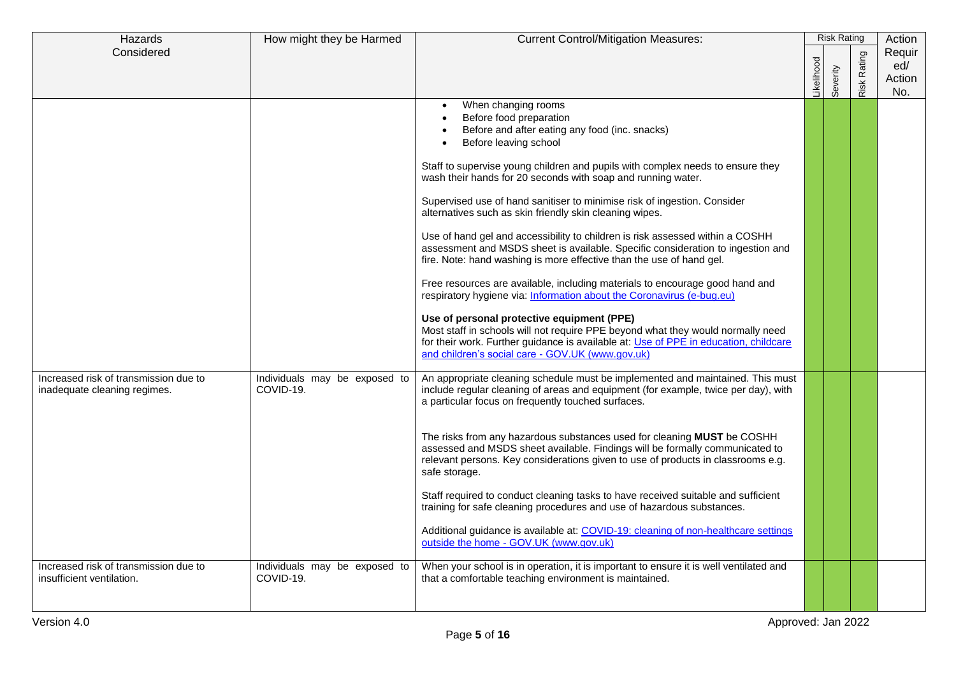| Hazards                                                               | How might they be Harmed                   | <b>Current Control/Mitigation Measures:</b>                                                                                                                                                                                                                                                                                                                                                                                                                                                                                                                                                                                                                                                                                                                                                                                                                                                                                                                                                                                                                                                                                                                                                                                                                                               |            | <b>Risk Rating</b> |             | Action                         |
|-----------------------------------------------------------------------|--------------------------------------------|-------------------------------------------------------------------------------------------------------------------------------------------------------------------------------------------------------------------------------------------------------------------------------------------------------------------------------------------------------------------------------------------------------------------------------------------------------------------------------------------------------------------------------------------------------------------------------------------------------------------------------------------------------------------------------------------------------------------------------------------------------------------------------------------------------------------------------------------------------------------------------------------------------------------------------------------------------------------------------------------------------------------------------------------------------------------------------------------------------------------------------------------------------------------------------------------------------------------------------------------------------------------------------------------|------------|--------------------|-------------|--------------------------------|
| Considered                                                            |                                            |                                                                                                                                                                                                                                                                                                                                                                                                                                                                                                                                                                                                                                                                                                                                                                                                                                                                                                                                                                                                                                                                                                                                                                                                                                                                                           | Likelihood | Severity           | Risk Rating | Requir<br>ed/<br>Action<br>No. |
| Increased risk of transmission due to<br>inadequate cleaning regimes. | Individuals may be exposed to<br>COVID-19. | When changing rooms<br>$\bullet$<br>Before food preparation<br>Before and after eating any food (inc. snacks)<br>Before leaving school<br>Staff to supervise young children and pupils with complex needs to ensure they<br>wash their hands for 20 seconds with soap and running water.<br>Supervised use of hand sanitiser to minimise risk of ingestion. Consider<br>alternatives such as skin friendly skin cleaning wipes.<br>Use of hand gel and accessibility to children is risk assessed within a COSHH<br>assessment and MSDS sheet is available. Specific consideration to ingestion and<br>fire. Note: hand washing is more effective than the use of hand gel.<br>Free resources are available, including materials to encourage good hand and<br>respiratory hygiene via: Information about the Coronavirus (e-bug.eu)<br>Use of personal protective equipment (PPE)<br>Most staff in schools will not require PPE beyond what they would normally need<br>for their work. Further guidance is available at: Use of PPE in education, childcare<br>and children's social care - GOV.UK (www.gov.uk)<br>An appropriate cleaning schedule must be implemented and maintained. This must<br>include regular cleaning of areas and equipment (for example, twice per day), with |            |                    |             |                                |
| Increased risk of transmission due to                                 | Individuals may be exposed to              | a particular focus on frequently touched surfaces.<br>The risks from any hazardous substances used for cleaning MUST be COSHH<br>assessed and MSDS sheet available. Findings will be formally communicated to<br>relevant persons. Key considerations given to use of products in classrooms e.g.<br>safe storage.<br>Staff required to conduct cleaning tasks to have received suitable and sufficient<br>training for safe cleaning procedures and use of hazardous substances.<br>Additional guidance is available at: COVID-19: cleaning of non-healthcare settings<br>outside the home - GOV.UK (www.gov.uk)<br>When your school is in operation, it is important to ensure it is well ventilated and                                                                                                                                                                                                                                                                                                                                                                                                                                                                                                                                                                                |            |                    |             |                                |
| insufficient ventilation.                                             | COVID-19.                                  | that a comfortable teaching environment is maintained.                                                                                                                                                                                                                                                                                                                                                                                                                                                                                                                                                                                                                                                                                                                                                                                                                                                                                                                                                                                                                                                                                                                                                                                                                                    |            |                    |             |                                |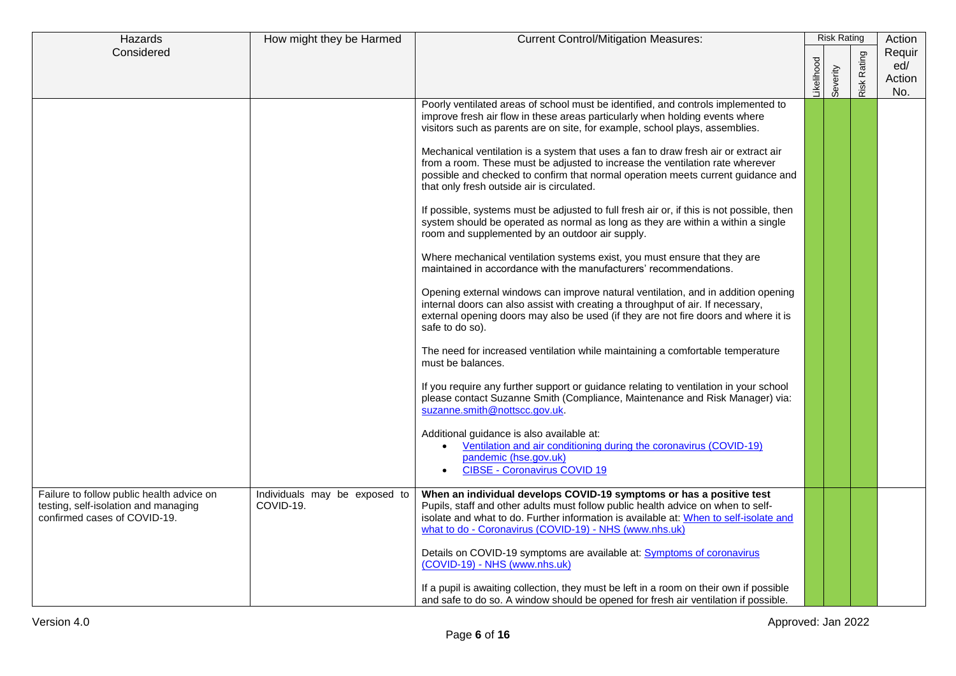| Hazards                                                                                                           | How might they be Harmed                   | <b>Current Control/Mitigation Measures:</b>                                                                                                                                                                                                                                                                                                                                                                                                                                                                                                                                                                                                                                                                                                                                                                                                                                                                                                                                                                                                                                                                                                                                                                                                                                                                                                                                                                                                                                                                                                                                                                                                                                                                                                                       |           | <b>Risk Rating</b> |                | Action                         |
|-------------------------------------------------------------------------------------------------------------------|--------------------------------------------|-------------------------------------------------------------------------------------------------------------------------------------------------------------------------------------------------------------------------------------------------------------------------------------------------------------------------------------------------------------------------------------------------------------------------------------------------------------------------------------------------------------------------------------------------------------------------------------------------------------------------------------------------------------------------------------------------------------------------------------------------------------------------------------------------------------------------------------------------------------------------------------------------------------------------------------------------------------------------------------------------------------------------------------------------------------------------------------------------------------------------------------------------------------------------------------------------------------------------------------------------------------------------------------------------------------------------------------------------------------------------------------------------------------------------------------------------------------------------------------------------------------------------------------------------------------------------------------------------------------------------------------------------------------------------------------------------------------------------------------------------------------------|-----------|--------------------|----------------|--------------------------------|
| Considered                                                                                                        |                                            |                                                                                                                                                                                                                                                                                                                                                                                                                                                                                                                                                                                                                                                                                                                                                                                                                                                                                                                                                                                                                                                                                                                                                                                                                                                                                                                                                                                                                                                                                                                                                                                                                                                                                                                                                                   | ikelihood | Severity           | Rating<br>Risk | Requir<br>ed/<br>Action<br>No. |
|                                                                                                                   |                                            | Poorly ventilated areas of school must be identified, and controls implemented to<br>improve fresh air flow in these areas particularly when holding events where<br>visitors such as parents are on site, for example, school plays, assemblies.<br>Mechanical ventilation is a system that uses a fan to draw fresh air or extract air<br>from a room. These must be adjusted to increase the ventilation rate wherever<br>possible and checked to confirm that normal operation meets current guidance and<br>that only fresh outside air is circulated.<br>If possible, systems must be adjusted to full fresh air or, if this is not possible, then<br>system should be operated as normal as long as they are within a within a single<br>room and supplemented by an outdoor air supply.<br>Where mechanical ventilation systems exist, you must ensure that they are<br>maintained in accordance with the manufacturers' recommendations.<br>Opening external windows can improve natural ventilation, and in addition opening<br>internal doors can also assist with creating a throughput of air. If necessary,<br>external opening doors may also be used (if they are not fire doors and where it is<br>safe to do so).<br>The need for increased ventilation while maintaining a comfortable temperature<br>must be balances.<br>If you require any further support or guidance relating to ventilation in your school<br>please contact Suzanne Smith (Compliance, Maintenance and Risk Manager) via:<br>suzanne.smith@nottscc.gov.uk.<br>Additional guidance is also available at:<br>Ventilation and air conditioning during the coronavirus (COVID-19)<br>$\bullet$<br>pandemic (hse.gov.uk)<br><b>CIBSE - Coronavirus COVID 19</b><br>$\bullet$ |           |                    |                |                                |
| Failure to follow public health advice on<br>testing, self-isolation and managing<br>confirmed cases of COVID-19. | Individuals may be exposed to<br>COVID-19. | When an individual develops COVID-19 symptoms or has a positive test<br>Pupils, staff and other adults must follow public health advice on when to self-<br>isolate and what to do. Further information is available at: When to self-isolate and<br>what to do - Coronavirus (COVID-19) - NHS (www.nhs.uk)<br>Details on COVID-19 symptoms are available at: Symptoms of coronavirus<br>(COVID-19) - NHS (www.nhs.uk)<br>If a pupil is awaiting collection, they must be left in a room on their own if possible<br>and safe to do so. A window should be opened for fresh air ventilation if possible.                                                                                                                                                                                                                                                                                                                                                                                                                                                                                                                                                                                                                                                                                                                                                                                                                                                                                                                                                                                                                                                                                                                                                          |           |                    |                |                                |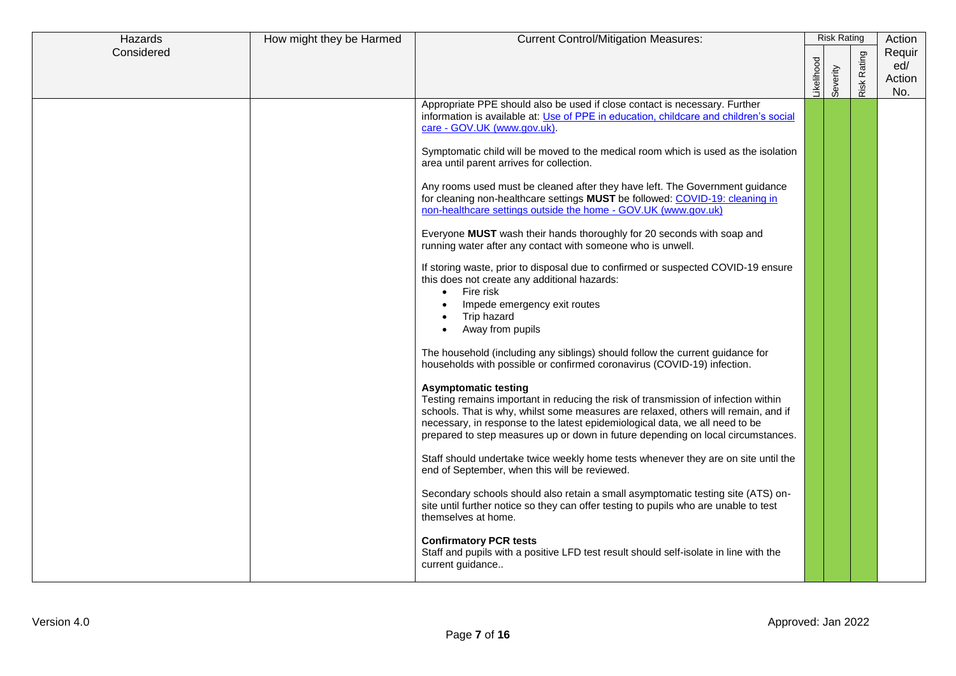| Hazards    | How might they be Harmed | <b>Current Control/Mitigation Measures:</b>                                                                                                                                                                                                                                                                                                                                 |                  | <b>Risk Rating</b> |             | Action                         |
|------------|--------------------------|-----------------------------------------------------------------------------------------------------------------------------------------------------------------------------------------------------------------------------------------------------------------------------------------------------------------------------------------------------------------------------|------------------|--------------------|-------------|--------------------------------|
| Considered |                          |                                                                                                                                                                                                                                                                                                                                                                             | <b>ikelihood</b> | Severity           | Risk Rating | Requir<br>ed/<br>Action<br>No. |
|            |                          | Appropriate PPE should also be used if close contact is necessary. Further<br>information is available at: Use of PPE in education, childcare and children's social<br>care - GOV.UK (www.gov.uk).                                                                                                                                                                          |                  |                    |             |                                |
|            |                          | Symptomatic child will be moved to the medical room which is used as the isolation<br>area until parent arrives for collection.                                                                                                                                                                                                                                             |                  |                    |             |                                |
|            |                          | Any rooms used must be cleaned after they have left. The Government guidance<br>for cleaning non-healthcare settings MUST be followed: COVID-19: cleaning in<br>non-healthcare settings outside the home - GOV.UK (www.gov.uk)                                                                                                                                              |                  |                    |             |                                |
|            |                          | Everyone MUST wash their hands thoroughly for 20 seconds with soap and<br>running water after any contact with someone who is unwell.                                                                                                                                                                                                                                       |                  |                    |             |                                |
|            |                          | If storing waste, prior to disposal due to confirmed or suspected COVID-19 ensure<br>this does not create any additional hazards:<br>Fire risk<br>Impede emergency exit routes<br>Trip hazard<br>Away from pupils<br>$\bullet$                                                                                                                                              |                  |                    |             |                                |
|            |                          | The household (including any siblings) should follow the current guidance for<br>households with possible or confirmed coronavirus (COVID-19) infection.                                                                                                                                                                                                                    |                  |                    |             |                                |
|            |                          | <b>Asymptomatic testing</b><br>Testing remains important in reducing the risk of transmission of infection within<br>schools. That is why, whilst some measures are relaxed, others will remain, and if<br>necessary, in response to the latest epidemiological data, we all need to be<br>prepared to step measures up or down in future depending on local circumstances. |                  |                    |             |                                |
|            |                          | Staff should undertake twice weekly home tests whenever they are on site until the<br>end of September, when this will be reviewed.                                                                                                                                                                                                                                         |                  |                    |             |                                |
|            |                          | Secondary schools should also retain a small asymptomatic testing site (ATS) on-<br>site until further notice so they can offer testing to pupils who are unable to test<br>themselves at home.                                                                                                                                                                             |                  |                    |             |                                |
|            |                          | <b>Confirmatory PCR tests</b><br>Staff and pupils with a positive LFD test result should self-isolate in line with the<br>current guidance                                                                                                                                                                                                                                  |                  |                    |             |                                |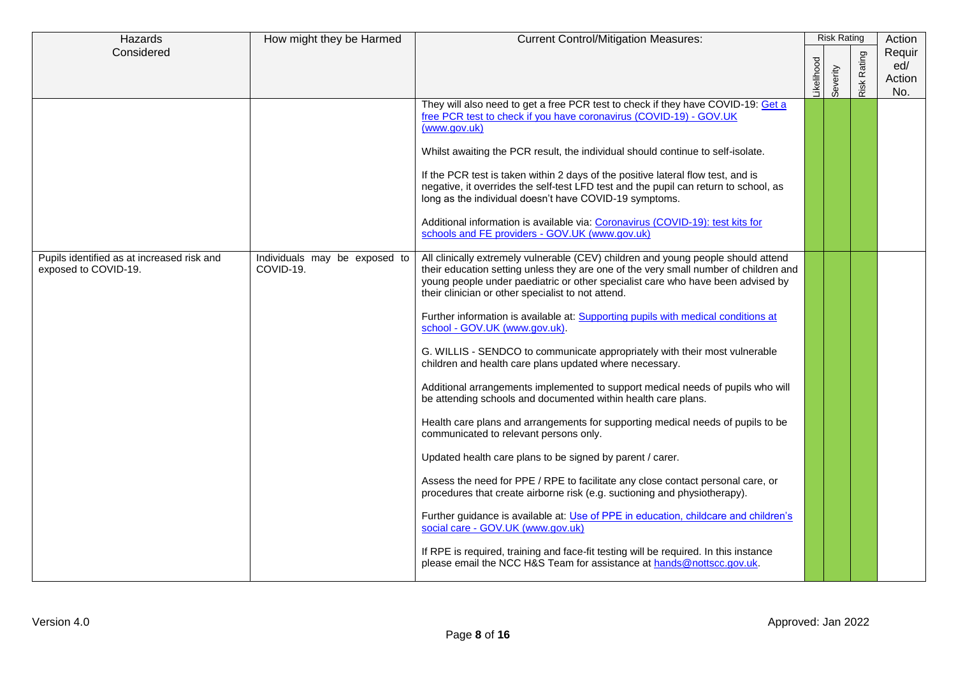| Hazards                                                            | How might they be Harmed                   | <b>Current Control/Mitigation Measures:</b>                                                                                                                                                                                                                                                                                                                                                                                                                                                                                                                                                                                                                                                                                                                                                                                                                                                                                                                                                                                                                                                                                                                                                                                                                                                                                                                                                  |           | <b>Risk Rating</b> |             | Action                         |
|--------------------------------------------------------------------|--------------------------------------------|----------------------------------------------------------------------------------------------------------------------------------------------------------------------------------------------------------------------------------------------------------------------------------------------------------------------------------------------------------------------------------------------------------------------------------------------------------------------------------------------------------------------------------------------------------------------------------------------------------------------------------------------------------------------------------------------------------------------------------------------------------------------------------------------------------------------------------------------------------------------------------------------------------------------------------------------------------------------------------------------------------------------------------------------------------------------------------------------------------------------------------------------------------------------------------------------------------------------------------------------------------------------------------------------------------------------------------------------------------------------------------------------|-----------|--------------------|-------------|--------------------------------|
| Considered                                                         |                                            |                                                                                                                                                                                                                                                                                                                                                                                                                                                                                                                                                                                                                                                                                                                                                                                                                                                                                                                                                                                                                                                                                                                                                                                                                                                                                                                                                                                              | ikelihood | Severity           | Risk Rating | Requir<br>ed/<br>Action<br>No. |
|                                                                    |                                            | They will also need to get a free PCR test to check if they have COVID-19: Get a<br>free PCR test to check if you have coronavirus (COVID-19) - GOV.UK<br>(www.gov.uk)<br>Whilst awaiting the PCR result, the individual should continue to self-isolate.<br>If the PCR test is taken within 2 days of the positive lateral flow test, and is<br>negative, it overrides the self-test LFD test and the pupil can return to school, as<br>long as the individual doesn't have COVID-19 symptoms.<br>Additional information is available via: Coronavirus (COVID-19): test kits for<br>schools and FE providers - GOV.UK (www.gov.uk)                                                                                                                                                                                                                                                                                                                                                                                                                                                                                                                                                                                                                                                                                                                                                          |           |                    |             |                                |
| Pupils identified as at increased risk and<br>exposed to COVID-19. | Individuals may be exposed to<br>COVID-19. | All clinically extremely vulnerable (CEV) children and young people should attend<br>their education setting unless they are one of the very small number of children and<br>young people under paediatric or other specialist care who have been advised by<br>their clinician or other specialist to not attend.<br>Further information is available at: Supporting pupils with medical conditions at<br>school - GOV.UK (www.gov.uk).<br>G. WILLIS - SENDCO to communicate appropriately with their most vulnerable<br>children and health care plans updated where necessary.<br>Additional arrangements implemented to support medical needs of pupils who will<br>be attending schools and documented within health care plans.<br>Health care plans and arrangements for supporting medical needs of pupils to be<br>communicated to relevant persons only.<br>Updated health care plans to be signed by parent / carer.<br>Assess the need for PPE / RPE to facilitate any close contact personal care, or<br>procedures that create airborne risk (e.g. suctioning and physiotherapy).<br>Further guidance is available at: Use of PPE in education, childcare and children's<br>social care - GOV.UK (www.gov.uk)<br>If RPE is required, training and face-fit testing will be required. In this instance<br>please email the NCC H&S Team for assistance at hands@nottscc.gov.uk. |           |                    |             |                                |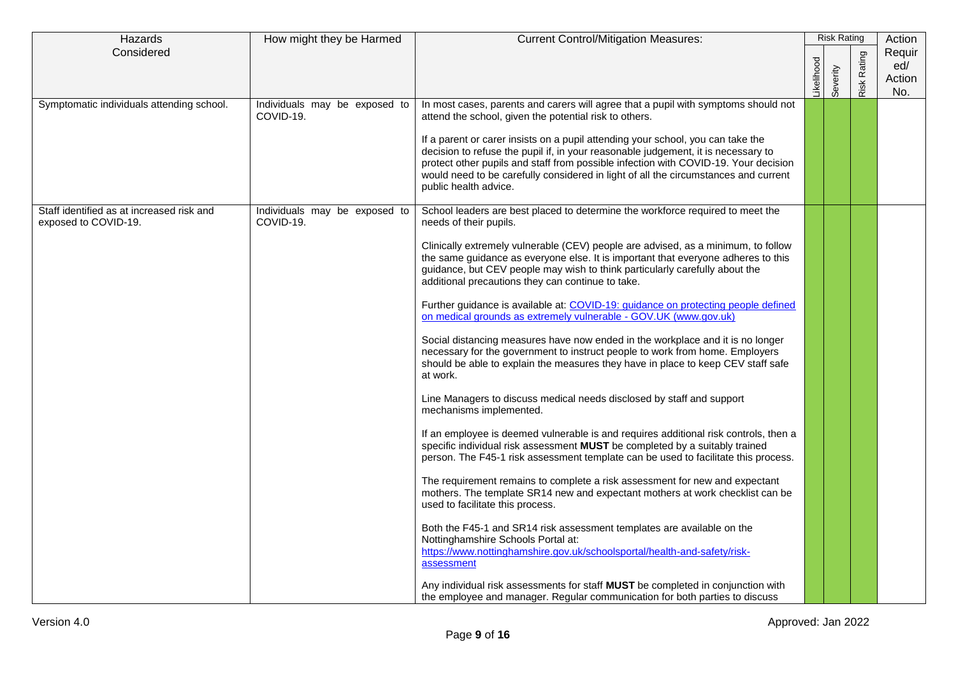| Hazards                                                           | How might they be Harmed<br><b>Current Control/Mitigation Measures:</b> |                                                                                                                                                                                                                                                                                                                                                                             | <b>Risk Rating</b> |          |                | Action                         |
|-------------------------------------------------------------------|-------------------------------------------------------------------------|-----------------------------------------------------------------------------------------------------------------------------------------------------------------------------------------------------------------------------------------------------------------------------------------------------------------------------------------------------------------------------|--------------------|----------|----------------|--------------------------------|
| Considered                                                        |                                                                         |                                                                                                                                                                                                                                                                                                                                                                             | ikelihood          | Severity | Rating<br>Risk | Requir<br>ed/<br>Action<br>No. |
| Symptomatic individuals attending school.                         | Individuals may be exposed to<br>COVID-19.                              | In most cases, parents and carers will agree that a pupil with symptoms should not<br>attend the school, given the potential risk to others.                                                                                                                                                                                                                                |                    |          |                |                                |
|                                                                   |                                                                         | If a parent or carer insists on a pupil attending your school, you can take the<br>decision to refuse the pupil if, in your reasonable judgement, it is necessary to<br>protect other pupils and staff from possible infection with COVID-19. Your decision<br>would need to be carefully considered in light of all the circumstances and current<br>public health advice. |                    |          |                |                                |
| Staff identified as at increased risk and<br>exposed to COVID-19. | Individuals may be exposed to<br>COVID-19.                              | School leaders are best placed to determine the workforce required to meet the<br>needs of their pupils.                                                                                                                                                                                                                                                                    |                    |          |                |                                |
|                                                                   |                                                                         | Clinically extremely vulnerable (CEV) people are advised, as a minimum, to follow<br>the same quidance as everyone else. It is important that everyone adheres to this<br>guidance, but CEV people may wish to think particularly carefully about the<br>additional precautions they can continue to take.                                                                  |                    |          |                |                                |
|                                                                   |                                                                         | Further guidance is available at: COVID-19: guidance on protecting people defined<br>on medical grounds as extremely vulnerable - GOV.UK (www.gov.uk)                                                                                                                                                                                                                       |                    |          |                |                                |
|                                                                   |                                                                         | Social distancing measures have now ended in the workplace and it is no longer<br>necessary for the government to instruct people to work from home. Employers<br>should be able to explain the measures they have in place to keep CEV staff safe<br>at work.                                                                                                              |                    |          |                |                                |
|                                                                   |                                                                         | Line Managers to discuss medical needs disclosed by staff and support<br>mechanisms implemented.                                                                                                                                                                                                                                                                            |                    |          |                |                                |
|                                                                   |                                                                         | If an employee is deemed vulnerable is and requires additional risk controls, then a<br>specific individual risk assessment MUST be completed by a suitably trained<br>person. The F45-1 risk assessment template can be used to facilitate this process.                                                                                                                   |                    |          |                |                                |
|                                                                   |                                                                         | The requirement remains to complete a risk assessment for new and expectant<br>mothers. The template SR14 new and expectant mothers at work checklist can be<br>used to facilitate this process.                                                                                                                                                                            |                    |          |                |                                |
|                                                                   |                                                                         | Both the F45-1 and SR14 risk assessment templates are available on the<br>Nottinghamshire Schools Portal at:<br>https://www.nottinghamshire.gov.uk/schoolsportal/health-and-safety/risk-<br>assessment                                                                                                                                                                      |                    |          |                |                                |
|                                                                   |                                                                         | Any individual risk assessments for staff MUST be completed in conjunction with<br>the employee and manager. Regular communication for both parties to discuss                                                                                                                                                                                                              |                    |          |                |                                |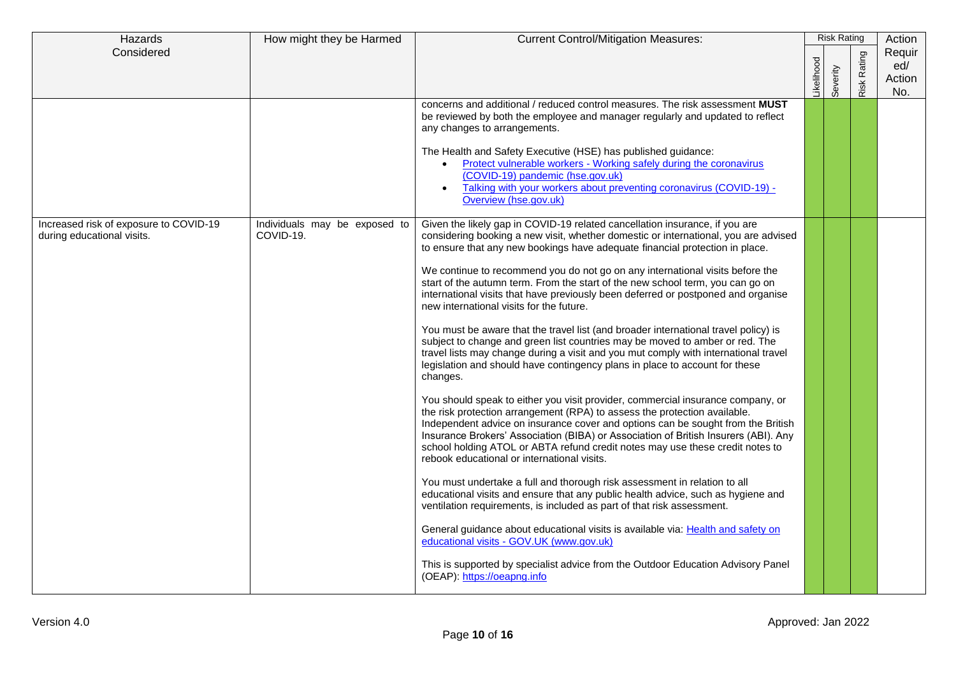| Hazards                                                              | How might they be Harmed                   | <b>Current Control/Mitigation Measures:</b>                                                                                                                                                                                                                                                                                                                                                                                                                             |                  | <b>Risk Rating</b> |                    | Action                         |  |
|----------------------------------------------------------------------|--------------------------------------------|-------------------------------------------------------------------------------------------------------------------------------------------------------------------------------------------------------------------------------------------------------------------------------------------------------------------------------------------------------------------------------------------------------------------------------------------------------------------------|------------------|--------------------|--------------------|--------------------------------|--|
| Considered                                                           |                                            |                                                                                                                                                                                                                                                                                                                                                                                                                                                                         | <b>ikelihood</b> | Severity           | <b>Risk Rating</b> | Requir<br>ed/<br>Action<br>No. |  |
|                                                                      |                                            | concerns and additional / reduced control measures. The risk assessment MUST<br>be reviewed by both the employee and manager regularly and updated to reflect<br>any changes to arrangements.                                                                                                                                                                                                                                                                           |                  |                    |                    |                                |  |
|                                                                      |                                            | The Health and Safety Executive (HSE) has published guidance:<br>Protect vulnerable workers - Working safely during the coronavirus<br>(COVID-19) pandemic (hse.gov.uk)<br>Talking with your workers about preventing coronavirus (COVID-19) -<br>Overview (hse.gov.uk)                                                                                                                                                                                                 |                  |                    |                    |                                |  |
| Increased risk of exposure to COVID-19<br>during educational visits. | Individuals may be exposed to<br>COVID-19. | Given the likely gap in COVID-19 related cancellation insurance, if you are<br>considering booking a new visit, whether domestic or international, you are advised<br>to ensure that any new bookings have adequate financial protection in place.                                                                                                                                                                                                                      |                  |                    |                    |                                |  |
|                                                                      |                                            | We continue to recommend you do not go on any international visits before the<br>start of the autumn term. From the start of the new school term, you can go on<br>international visits that have previously been deferred or postponed and organise<br>new international visits for the future.                                                                                                                                                                        |                  |                    |                    |                                |  |
|                                                                      |                                            | You must be aware that the travel list (and broader international travel policy) is<br>subject to change and green list countries may be moved to amber or red. The<br>travel lists may change during a visit and you mut comply with international travel<br>legislation and should have contingency plans in place to account for these<br>changes.                                                                                                                   |                  |                    |                    |                                |  |
|                                                                      |                                            | You should speak to either you visit provider, commercial insurance company, or<br>the risk protection arrangement (RPA) to assess the protection available.<br>Independent advice on insurance cover and options can be sought from the British<br>Insurance Brokers' Association (BIBA) or Association of British Insurers (ABI). Any<br>school holding ATOL or ABTA refund credit notes may use these credit notes to<br>rebook educational or international visits. |                  |                    |                    |                                |  |
|                                                                      |                                            | You must undertake a full and thorough risk assessment in relation to all<br>educational visits and ensure that any public health advice, such as hygiene and<br>ventilation requirements, is included as part of that risk assessment.                                                                                                                                                                                                                                 |                  |                    |                    |                                |  |
|                                                                      |                                            | General guidance about educational visits is available via: Health and safety on<br>educational visits - GOV.UK (www.gov.uk)                                                                                                                                                                                                                                                                                                                                            |                  |                    |                    |                                |  |
|                                                                      |                                            | This is supported by specialist advice from the Outdoor Education Advisory Panel<br>(OEAP): https://oeapng.info                                                                                                                                                                                                                                                                                                                                                         |                  |                    |                    |                                |  |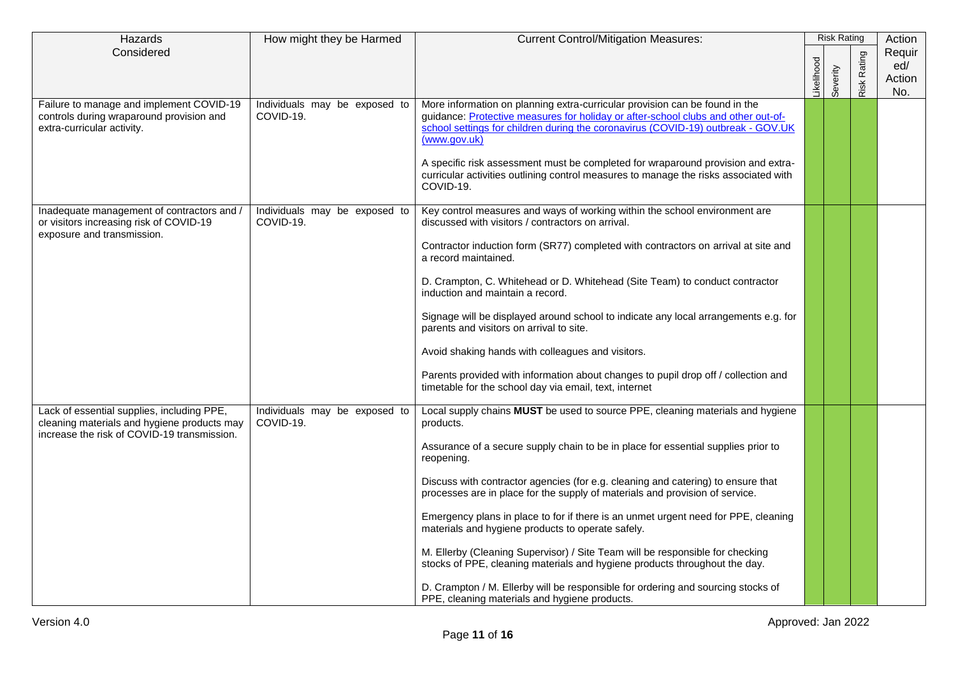| Hazards                                                                                                                                  | How might they be Harmed                   | <b>Current Control/Mitigation Measures:</b>                                                                                                                                                                                                                                                                                                              |           | <b>Risk Rating</b> |                    | Action                         |
|------------------------------------------------------------------------------------------------------------------------------------------|--------------------------------------------|----------------------------------------------------------------------------------------------------------------------------------------------------------------------------------------------------------------------------------------------------------------------------------------------------------------------------------------------------------|-----------|--------------------|--------------------|--------------------------------|
| Considered                                                                                                                               |                                            |                                                                                                                                                                                                                                                                                                                                                          | ikelihood | Severity           | <b>Risk Rating</b> | Requir<br>ed/<br>Action<br>No. |
| Failure to manage and implement COVID-19<br>controls during wraparound provision and<br>extra-curricular activity.                       | Individuals may be exposed to<br>COVID-19. | More information on planning extra-curricular provision can be found in the<br>guidance: Protective measures for holiday or after-school clubs and other out-of-<br>school settings for children during the coronavirus (COVID-19) outbreak - GOV.UK<br>(www.gov.uk)<br>A specific risk assessment must be completed for wraparound provision and extra- |           |                    |                    |                                |
|                                                                                                                                          |                                            | curricular activities outlining control measures to manage the risks associated with<br>COVID-19.                                                                                                                                                                                                                                                        |           |                    |                    |                                |
| Inadequate management of contractors and /<br>or visitors increasing risk of COVID-19<br>exposure and transmission.                      | Individuals may be exposed to<br>COVID-19. | Key control measures and ways of working within the school environment are<br>discussed with visitors / contractors on arrival.                                                                                                                                                                                                                          |           |                    |                    |                                |
|                                                                                                                                          |                                            | Contractor induction form (SR77) completed with contractors on arrival at site and<br>a record maintained.                                                                                                                                                                                                                                               |           |                    |                    |                                |
|                                                                                                                                          |                                            | D. Crampton, C. Whitehead or D. Whitehead (Site Team) to conduct contractor<br>induction and maintain a record.                                                                                                                                                                                                                                          |           |                    |                    |                                |
|                                                                                                                                          |                                            | Signage will be displayed around school to indicate any local arrangements e.g. for<br>parents and visitors on arrival to site.                                                                                                                                                                                                                          |           |                    |                    |                                |
|                                                                                                                                          |                                            | Avoid shaking hands with colleagues and visitors.                                                                                                                                                                                                                                                                                                        |           |                    |                    |                                |
|                                                                                                                                          |                                            | Parents provided with information about changes to pupil drop off / collection and<br>timetable for the school day via email, text, internet                                                                                                                                                                                                             |           |                    |                    |                                |
| Lack of essential supplies, including PPE,<br>cleaning materials and hygiene products may<br>increase the risk of COVID-19 transmission. | Individuals may be exposed to<br>COVID-19. | Local supply chains MUST be used to source PPE, cleaning materials and hygiene<br>products.                                                                                                                                                                                                                                                              |           |                    |                    |                                |
|                                                                                                                                          |                                            | Assurance of a secure supply chain to be in place for essential supplies prior to<br>reopening.                                                                                                                                                                                                                                                          |           |                    |                    |                                |
|                                                                                                                                          |                                            | Discuss with contractor agencies (for e.g. cleaning and catering) to ensure that<br>processes are in place for the supply of materials and provision of service.                                                                                                                                                                                         |           |                    |                    |                                |
|                                                                                                                                          |                                            | Emergency plans in place to for if there is an unmet urgent need for PPE, cleaning<br>materials and hygiene products to operate safely.                                                                                                                                                                                                                  |           |                    |                    |                                |
|                                                                                                                                          |                                            | M. Ellerby (Cleaning Supervisor) / Site Team will be responsible for checking<br>stocks of PPE, cleaning materials and hygiene products throughout the day.                                                                                                                                                                                              |           |                    |                    |                                |
|                                                                                                                                          |                                            | D. Crampton / M. Ellerby will be responsible for ordering and sourcing stocks of<br>PPE, cleaning materials and hygiene products.                                                                                                                                                                                                                        |           |                    |                    |                                |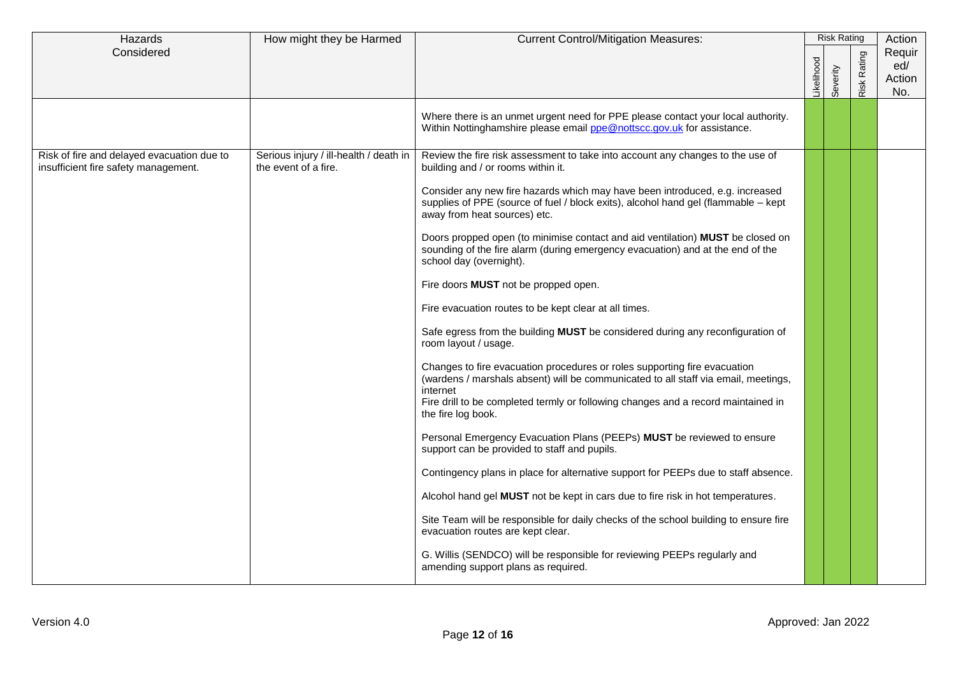| Hazards                                                                            | How might they be Harmed                                       | <b>Current Control/Mitigation Measures:</b>                                                                                                                                                                                                                                                                                                                                                                                                                                                                                                                                                                                                                                                                                                                                                                                                                                                                                                                                                                                                                                                                                                                                                                                                                                                                                                                                                                                                                           |           | <b>Risk Rating</b> |                    | Action                         |
|------------------------------------------------------------------------------------|----------------------------------------------------------------|-----------------------------------------------------------------------------------------------------------------------------------------------------------------------------------------------------------------------------------------------------------------------------------------------------------------------------------------------------------------------------------------------------------------------------------------------------------------------------------------------------------------------------------------------------------------------------------------------------------------------------------------------------------------------------------------------------------------------------------------------------------------------------------------------------------------------------------------------------------------------------------------------------------------------------------------------------------------------------------------------------------------------------------------------------------------------------------------------------------------------------------------------------------------------------------------------------------------------------------------------------------------------------------------------------------------------------------------------------------------------------------------------------------------------------------------------------------------------|-----------|--------------------|--------------------|--------------------------------|
| Considered                                                                         |                                                                |                                                                                                                                                                                                                                                                                                                                                                                                                                                                                                                                                                                                                                                                                                                                                                                                                                                                                                                                                                                                                                                                                                                                                                                                                                                                                                                                                                                                                                                                       | ikelihood | Severity           | <b>Risk Rating</b> | Requir<br>ed/<br>Action<br>No. |
|                                                                                    |                                                                | Where there is an unmet urgent need for PPE please contact your local authority.<br>Within Nottinghamshire please email ppe@nottscc.gov.uk for assistance.                                                                                                                                                                                                                                                                                                                                                                                                                                                                                                                                                                                                                                                                                                                                                                                                                                                                                                                                                                                                                                                                                                                                                                                                                                                                                                            |           |                    |                    |                                |
| Risk of fire and delayed evacuation due to<br>insufficient fire safety management. | Serious injury / ill-health / death in<br>the event of a fire. | Review the fire risk assessment to take into account any changes to the use of<br>building and / or rooms within it.<br>Consider any new fire hazards which may have been introduced, e.g. increased<br>supplies of PPE (source of fuel / block exits), alcohol hand gel (flammable - kept<br>away from heat sources) etc.<br>Doors propped open (to minimise contact and aid ventilation) MUST be closed on<br>sounding of the fire alarm (during emergency evacuation) and at the end of the<br>school day (overnight).<br>Fire doors <b>MUST</b> not be propped open.<br>Fire evacuation routes to be kept clear at all times.<br>Safe egress from the building MUST be considered during any reconfiguration of<br>room layout / usage.<br>Changes to fire evacuation procedures or roles supporting fire evacuation<br>(wardens / marshals absent) will be communicated to all staff via email, meetings,<br>internet<br>Fire drill to be completed termly or following changes and a record maintained in<br>the fire log book.<br>Personal Emergency Evacuation Plans (PEEPs) MUST be reviewed to ensure<br>support can be provided to staff and pupils.<br>Contingency plans in place for alternative support for PEEPs due to staff absence.<br>Alcohol hand gel MUST not be kept in cars due to fire risk in hot temperatures.<br>Site Team will be responsible for daily checks of the school building to ensure fire<br>evacuation routes are kept clear. |           |                    |                    |                                |
|                                                                                    |                                                                | G. Willis (SENDCO) will be responsible for reviewing PEEPs regularly and<br>amending support plans as required.                                                                                                                                                                                                                                                                                                                                                                                                                                                                                                                                                                                                                                                                                                                                                                                                                                                                                                                                                                                                                                                                                                                                                                                                                                                                                                                                                       |           |                    |                    |                                |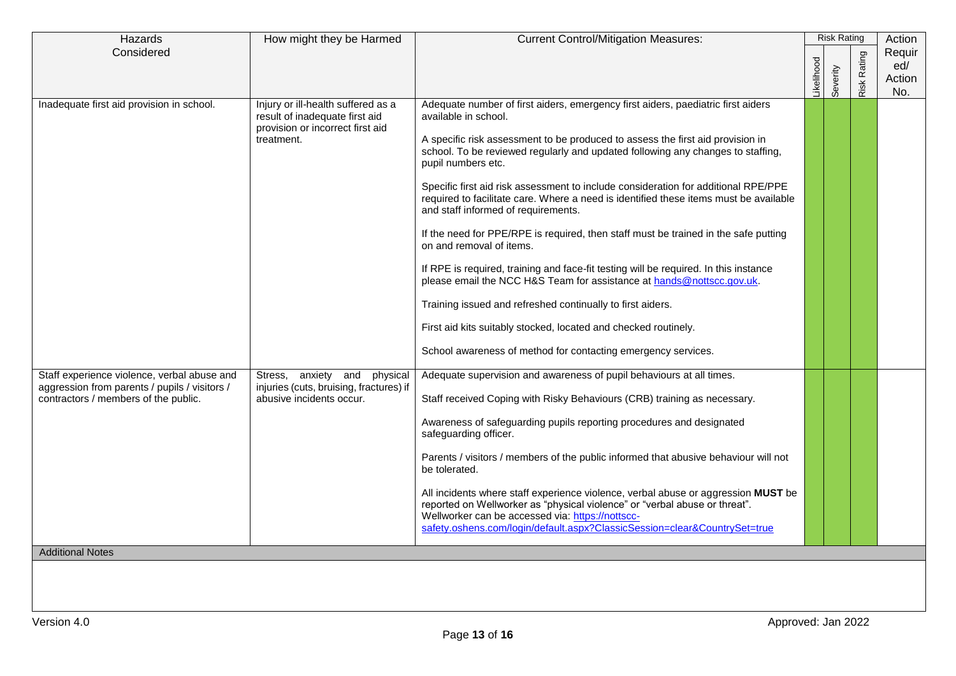| Hazards                                                                                                                                                         | How might they be Harmed                                                                                               | <b>Current Control/Mitigation Measures:</b>                                                                                                                                                                                                                                                                                                                                                                                                                                                                                                                                                                                                                                                                                                                                                                                                                                                                                                                                                                     | <b>Risk Rating</b> |          | Action             |                                |
|-----------------------------------------------------------------------------------------------------------------------------------------------------------------|------------------------------------------------------------------------------------------------------------------------|-----------------------------------------------------------------------------------------------------------------------------------------------------------------------------------------------------------------------------------------------------------------------------------------------------------------------------------------------------------------------------------------------------------------------------------------------------------------------------------------------------------------------------------------------------------------------------------------------------------------------------------------------------------------------------------------------------------------------------------------------------------------------------------------------------------------------------------------------------------------------------------------------------------------------------------------------------------------------------------------------------------------|--------------------|----------|--------------------|--------------------------------|
| Considered                                                                                                                                                      |                                                                                                                        |                                                                                                                                                                                                                                                                                                                                                                                                                                                                                                                                                                                                                                                                                                                                                                                                                                                                                                                                                                                                                 | -ikelihood         | Severity | <b>Risk Rating</b> | Requir<br>ed/<br>Action<br>No. |
| Inadequate first aid provision in school.                                                                                                                       | Injury or ill-health suffered as a<br>result of inadequate first aid<br>provision or incorrect first aid<br>treatment. | Adequate number of first aiders, emergency first aiders, paediatric first aiders<br>available in school.<br>A specific risk assessment to be produced to assess the first aid provision in<br>school. To be reviewed regularly and updated following any changes to staffing,<br>pupil numbers etc.<br>Specific first aid risk assessment to include consideration for additional RPE/PPE<br>required to facilitate care. Where a need is identified these items must be available<br>and staff informed of requirements.<br>If the need for PPE/RPE is required, then staff must be trained in the safe putting<br>on and removal of items.<br>If RPE is required, training and face-fit testing will be required. In this instance<br>please email the NCC H&S Team for assistance at hands@nottscc.gov.uk.<br>Training issued and refreshed continually to first aiders.<br>First aid kits suitably stocked, located and checked routinely.<br>School awareness of method for contacting emergency services. |                    |          |                    |                                |
| Staff experience violence, verbal abuse and<br>aggression from parents / pupils / visitors /<br>contractors / members of the public.<br><b>Additional Notes</b> | Stress, anxiety and<br>physical<br>injuries (cuts, bruising, fractures) if<br>abusive incidents occur.                 | Adequate supervision and awareness of pupil behaviours at all times.<br>Staff received Coping with Risky Behaviours (CRB) training as necessary.<br>Awareness of safeguarding pupils reporting procedures and designated<br>safeguarding officer.<br>Parents / visitors / members of the public informed that abusive behaviour will not<br>be tolerated.<br>All incidents where staff experience violence, verbal abuse or aggression MUST be<br>reported on Wellworker as "physical violence" or "verbal abuse or threat".<br>Wellworker can be accessed via: https://nottscc-<br>safety.oshens.com/login/default.aspx?ClassicSession=clear&CountrySet=true                                                                                                                                                                                                                                                                                                                                                   |                    |          |                    |                                |
|                                                                                                                                                                 |                                                                                                                        |                                                                                                                                                                                                                                                                                                                                                                                                                                                                                                                                                                                                                                                                                                                                                                                                                                                                                                                                                                                                                 |                    |          |                    |                                |
|                                                                                                                                                                 |                                                                                                                        |                                                                                                                                                                                                                                                                                                                                                                                                                                                                                                                                                                                                                                                                                                                                                                                                                                                                                                                                                                                                                 |                    |          |                    |                                |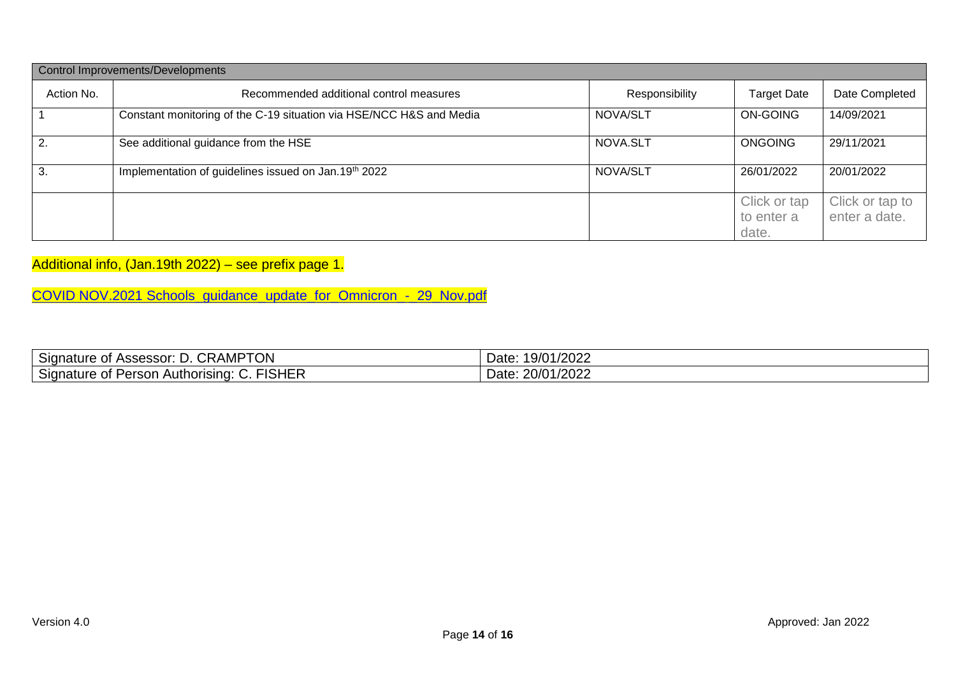| Control Improvements/Developments |                                                                     |                |                                     |                                  |  |  |  |  |
|-----------------------------------|---------------------------------------------------------------------|----------------|-------------------------------------|----------------------------------|--|--|--|--|
| Action No.                        | Recommended additional control measures                             | Responsibility | <b>Target Date</b>                  | Date Completed                   |  |  |  |  |
|                                   | Constant monitoring of the C-19 situation via HSE/NCC H&S and Media | NOVA/SLT       | <b>ON-GOING</b>                     | 14/09/2021                       |  |  |  |  |
| 2.                                | See additional guidance from the HSE                                | NOVA.SLT       | <b>ONGOING</b>                      | 29/11/2021                       |  |  |  |  |
| 3.                                | Implementation of guidelines issued on Jan.19th 2022                | NOVA/SLT       | 26/01/2022                          | 20/01/2022                       |  |  |  |  |
|                                   |                                                                     |                | Click or tap<br>to enter a<br>date. | Click or tap to<br>enter a date. |  |  |  |  |

Additional info, (Jan.19th 2022) – see prefix page 1.

[COVID NOV.2021 Schools\\_guidance\\_update\\_for\\_Omnicron\\_-\\_29\\_Nov.pdf](file://///torchacademygatewaytrust-my.sharepoint.com@SSL/DavWWWRoot/personal/kbarber_newarkacademy_co_uk/documents/Restored/Documents/COVID%20-%2019/COVID%20NOV.2021%20Schools_guidance_update_for_Omnicron_-_29_Nov.pdf)

| $\sim$<br>TON<br>.<br><b>CRAMI</b><br>Signature of<br>Assessor:<br>◡            | 19/01/2022<br>Date: |
|---------------------------------------------------------------------------------|---------------------|
| FISHER<br>$\overline{\phantom{0}}$<br>Signature of Person<br>Authorising:<br>J. | 20/01/2022<br>Date: |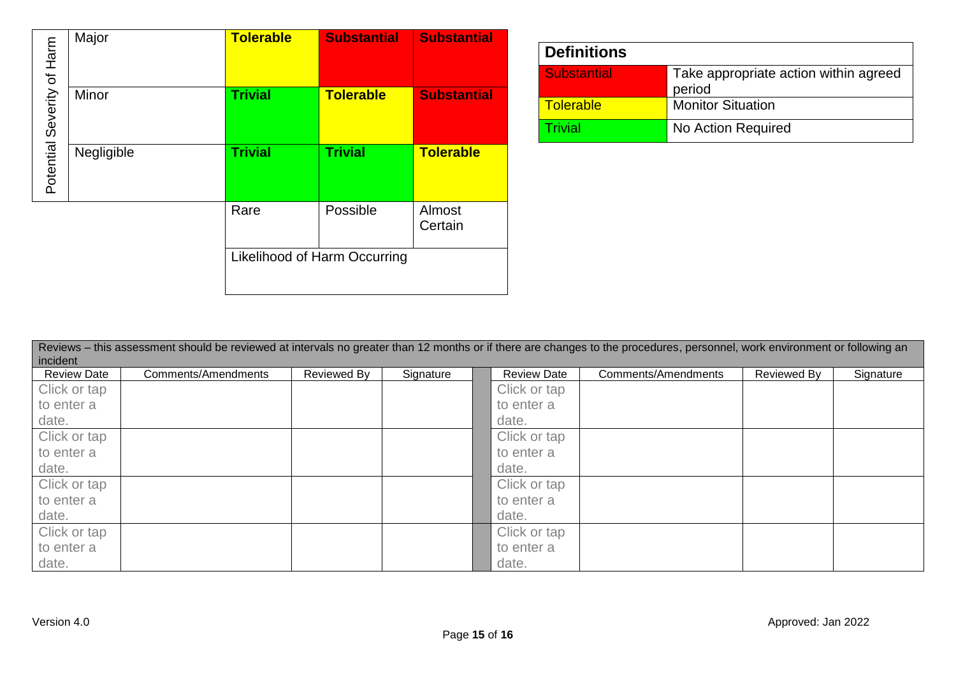| of Harm   | Major      | <b>Tolerable</b>             | <b>Substantial</b> | <b>Substantial</b> |  |
|-----------|------------|------------------------------|--------------------|--------------------|--|
| Severity  | Minor      | <b>Trivial</b>               | <b>Tolerable</b>   | <b>Substantial</b> |  |
| Potential | Negligible | <b>Trivial</b>               | <b>Trivial</b>     | <b>Tolerable</b>   |  |
|           |            | Rare                         | Possible           | Almost<br>Certain  |  |
|           |            | Likelihood of Harm Occurring |                    |                    |  |

| <b>Definitions</b> |                                                 |  |  |  |  |
|--------------------|-------------------------------------------------|--|--|--|--|
| <b>Substantial</b> | Take appropriate action within agreed<br>period |  |  |  |  |
| <b>Tolerable</b>   | <b>Monitor Situation</b>                        |  |  |  |  |
| Frivial            | No Action Required                              |  |  |  |  |

| Reviews – this assessment should be reviewed at intervals no greater than 12 months or if there are changes to the procedures, personnel, work environment or following an<br>incident |                     |             |           |                    |                     |             |           |  |
|----------------------------------------------------------------------------------------------------------------------------------------------------------------------------------------|---------------------|-------------|-----------|--------------------|---------------------|-------------|-----------|--|
| <b>Review Date</b>                                                                                                                                                                     | Comments/Amendments | Reviewed By | Signature | <b>Review Date</b> | Comments/Amendments | Reviewed By | Signature |  |
| Click or tap                                                                                                                                                                           |                     |             |           | Click or tap       |                     |             |           |  |
| to enter a                                                                                                                                                                             |                     |             |           | to enter a         |                     |             |           |  |
| date.                                                                                                                                                                                  |                     |             |           | date.              |                     |             |           |  |
| Click or tap                                                                                                                                                                           |                     |             |           | Click or tap       |                     |             |           |  |
| to enter a                                                                                                                                                                             |                     |             |           | to enter a         |                     |             |           |  |
| date.                                                                                                                                                                                  |                     |             |           | date.              |                     |             |           |  |
| Click or tap                                                                                                                                                                           |                     |             |           | Click or tap       |                     |             |           |  |
| to enter a                                                                                                                                                                             |                     |             |           | to enter a         |                     |             |           |  |
| date.                                                                                                                                                                                  |                     |             |           | date.              |                     |             |           |  |
| Click or tap                                                                                                                                                                           |                     |             |           | Click or tap       |                     |             |           |  |
| to enter a                                                                                                                                                                             |                     |             |           | to enter a         |                     |             |           |  |
| date.                                                                                                                                                                                  |                     |             |           | date.              |                     |             |           |  |